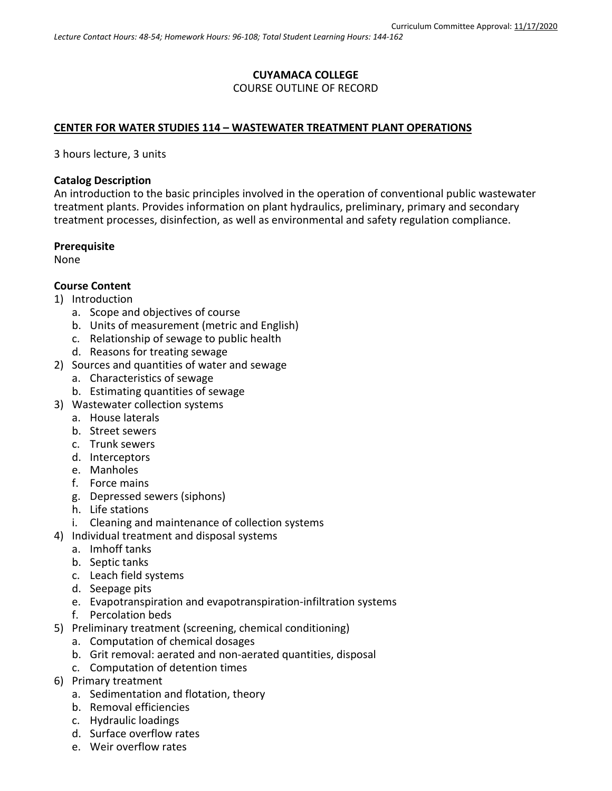# **CUYAMACA COLLEGE** COURSE OUTLINE OF RECORD

## **CENTER FOR WATER STUDIES 114 – WASTEWATER TREATMENT PLANT OPERATIONS**

3 hours lecture, 3 units

#### **Catalog Description**

An introduction to the basic principles involved in the operation of conventional public wastewater treatment plants. Provides information on plant hydraulics, preliminary, primary and secondary treatment processes, disinfection, as well as environmental and safety regulation compliance.

#### **Prerequisite**

None

# **Course Content**

- 1) Introduction
	- a. Scope and objectives of course
	- b. Units of measurement (metric and English)
	- c. Relationship of sewage to public health
	- d. Reasons for treating sewage
- 2) Sources and quantities of water and sewage
	- a. Characteristics of sewage
	- b. Estimating quantities of sewage
- 3) Wastewater collection systems
	- a. House laterals
	- b. Street sewers
	- c. Trunk sewers
	- d. Interceptors
	- e. Manholes
	- f. Force mains
	- g. Depressed sewers (siphons)
	- h. Life stations
	- i. Cleaning and maintenance of collection systems
- 4) Individual treatment and disposal systems
	- a. Imhoff tanks
	- b. Septic tanks
	- c. Leach field systems
	- d. Seepage pits
	- e. Evapotranspiration and evapotranspiration-infiltration systems
	- f. Percolation beds
- 5) Preliminary treatment (screening, chemical conditioning)
	- a. Computation of chemical dosages
	- b. Grit removal: aerated and non-aerated quantities, disposal
	- c. Computation of detention times
- 6) Primary treatment
	- a. Sedimentation and flotation, theory
	- b. Removal efficiencies
	- c. Hydraulic loadings
	- d. Surface overflow rates
	- e. Weir overflow rates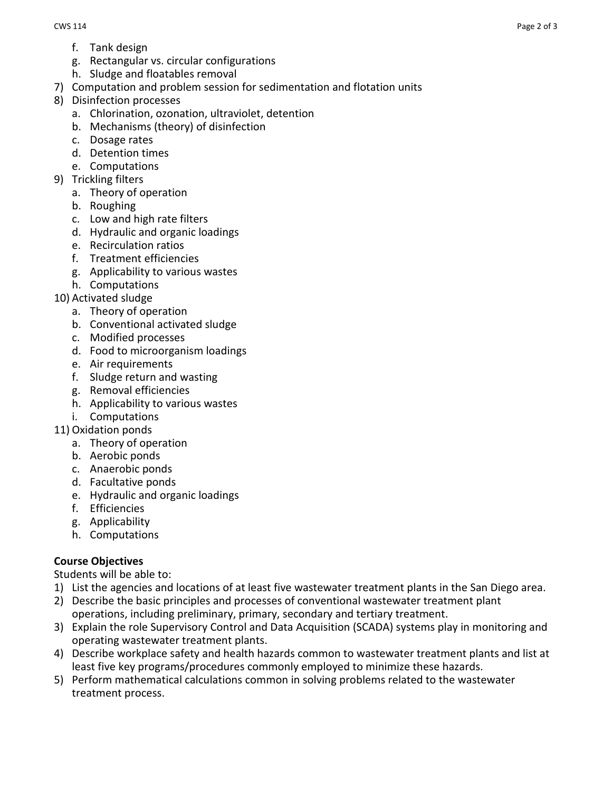- f. Tank design
- g. Rectangular vs. circular configurations
- h. Sludge and floatables removal
- 7) Computation and problem session for sedimentation and flotation units
- 8) Disinfection processes
	- a. Chlorination, ozonation, ultraviolet, detention
	- b. Mechanisms (theory) of disinfection
	- c. Dosage rates
	- d. Detention times
	- e. Computations
- 9) Trickling filters
	- a. Theory of operation
	- b. Roughing
	- c. Low and high rate filters
	- d. Hydraulic and organic loadings
	- e. Recirculation ratios
	- f. Treatment efficiencies
	- g. Applicability to various wastes
	- h. Computations
- 10) Activated sludge
	- a. Theory of operation
	- b. Conventional activated sludge
	- c. Modified processes
	- d. Food to microorganism loadings
	- e. Air requirements
	- f. Sludge return and wasting
	- g. Removal efficiencies
	- h. Applicability to various wastes
	- i. Computations
- 11) Oxidation ponds
	- a. Theory of operation
	- b. Aerobic ponds
	- c. Anaerobic ponds
	- d. Facultative ponds
	- e. Hydraulic and organic loadings
	- f. Efficiencies
	- g. Applicability
	- h. Computations

# **Course Objectives**

Students will be able to:

- 1) List the agencies and locations of at least five wastewater treatment plants in the San Diego area.
- 2) Describe the basic principles and processes of conventional wastewater treatment plant operations, including preliminary, primary, secondary and tertiary treatment.
- 3) Explain the role Supervisory Control and Data Acquisition (SCADA) systems play in monitoring and operating wastewater treatment plants.
- 4) Describe workplace safety and health hazards common to wastewater treatment plants and list at least five key programs/procedures commonly employed to minimize these hazards.
- 5) Perform mathematical calculations common in solving problems related to the wastewater treatment process.